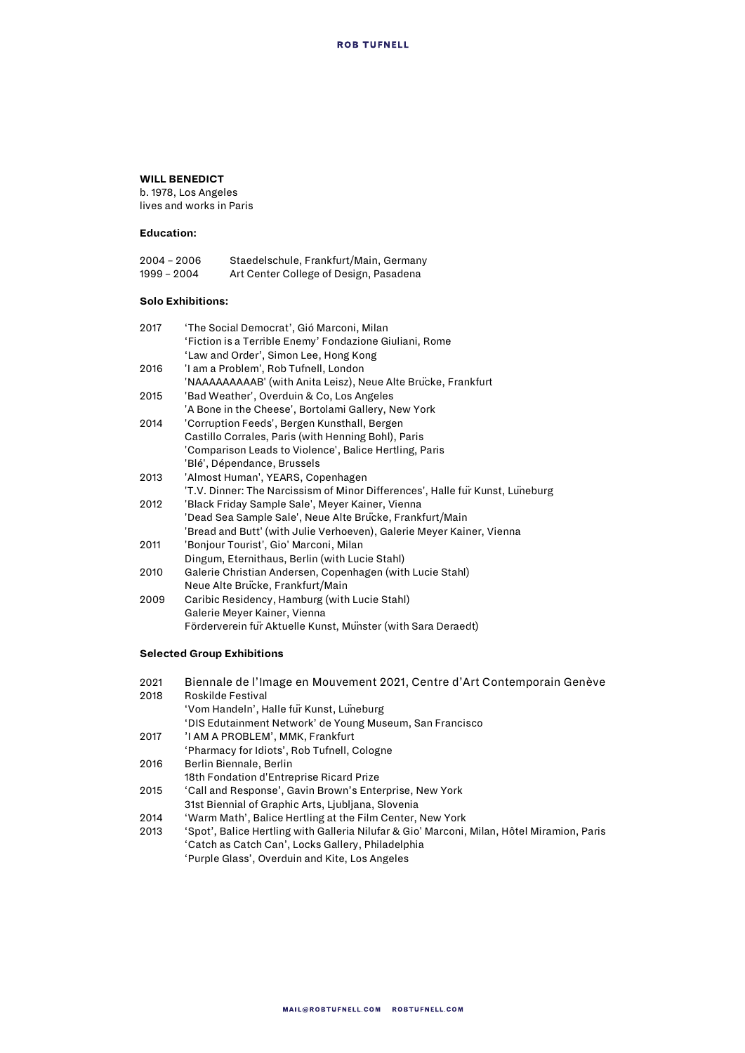### **WILL BENEDICT**

b. 1978, Los Angeles lives and works in Paris

#### **Education:**

| $2004 - 2006$ | Staedelschule, Frankfurt/Main, Germany |
|---------------|----------------------------------------|
| 1999 – 2004   | Art Center College of Design, Pasadena |

#### **Solo Exhibitions:**

| 2017 | 'The Social Democrat', Gió Marconi, Milan                                     |
|------|-------------------------------------------------------------------------------|
|      | 'Fiction is a Terrible Enemy' Fondazione Giuliani, Rome                       |
|      | 'Law and Order', Simon Lee, Hong Kong                                         |
| 2016 | 'I am a Problem', Rob Tufnell, London                                         |
|      | 'NAAAAAAAAAB' (with Anita Leisz), Neue Alte Brucke, Frankfurt                 |
| 2015 | 'Bad Weather', Overduin & Co, Los Angeles                                     |
|      | 'A Bone in the Cheese', Bortolami Gallery, New York                           |
| 2014 | 'Corruption Feeds', Bergen Kunsthall, Bergen                                  |
|      | Castillo Corrales, Paris (with Henning Bohl), Paris                           |
|      | 'Comparison Leads to Violence', Balice Hertling, Paris                        |
|      | 'Blé', Dépendance, Brussels                                                   |
| 2013 | 'Almost Human', YEARS, Copenhagen                                             |
|      | 'T.V. Dinner: The Narcissism of Minor Differences', Halle fur Kunst, Luneburg |
| 2012 | 'Black Friday Sample Sale', Meyer Kainer, Vienna                              |
|      | 'Dead Sea Sample Sale', Neue Alte Brucke, Frankfurt/Main                      |
|      | 'Bread and Butt' (with Julie Verhoeven), Galerie Meyer Kainer, Vienna         |
| 2011 | 'Bonjour Tourist', Gio' Marconi, Milan                                        |
|      | Dingum, Eternithaus, Berlin (with Lucie Stahl)                                |
| 2010 | Galerie Christian Andersen, Copenhagen (with Lucie Stahl)                     |
|      | Neue Alte Brucke, Frankfurt/Main                                              |
| 2009 | Caribic Residency, Hamburg (with Lucie Stahl)                                 |
|      | Galerie Meyer Kainer, Vienna                                                  |
|      | Förderverein für Aktuelle Kunst, Münster (with Sara Deraedt)                  |
|      |                                                                               |

## **Selected Group Exhibitions**

| 2021 | Biennale de l'Image en Mouvement 2021, Centre d'Art Contemporain Genève                    |
|------|--------------------------------------------------------------------------------------------|
| 2018 | Roskilde Festival                                                                          |
|      | 'Vom Handeln', Halle für Kunst, Luneburg                                                   |
|      | 'DIS Edutainment Network' de Young Museum, San Francisco                                   |
| 2017 | 'I AM A PROBLEM', MMK, Frankfurt                                                           |
|      | 'Pharmacy for Idiots', Rob Tufnell, Cologne                                                |
| 2016 | Berlin Biennale, Berlin                                                                    |
|      | 18th Fondation d'Entreprise Ricard Prize                                                   |
| 2015 | 'Call and Response', Gavin Brown's Enterprise, New York                                    |
|      | 31st Biennial of Graphic Arts, Liubliana, Slovenia                                         |
| 2014 | 'Warm Math', Balice Hertling at the Film Center, New York                                  |
| 2013 | 'Spot', Balice Hertling with Galleria Nilufar & Gio' Marconi, Milan, Hôtel Miramion, Paris |
|      | 'Catch as Catch Can', Locks Gallery, Philadelphia                                          |
|      | 'Purple Glass', Overduin and Kite, Los Angeles                                             |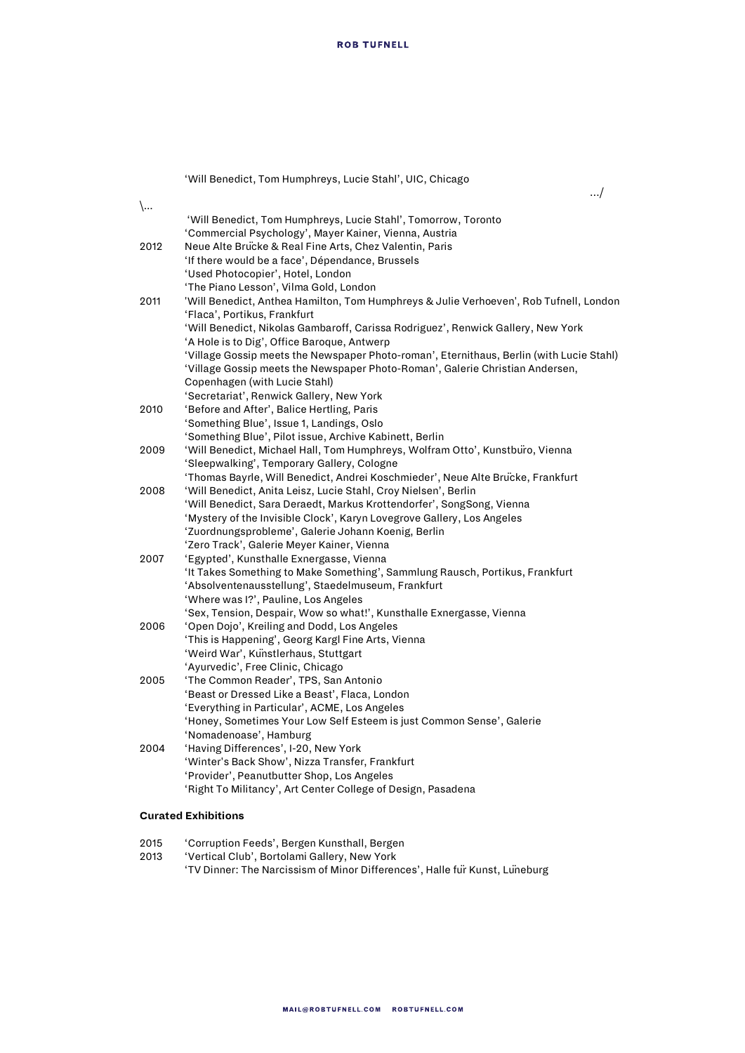'Will Benedict, Tom Humphreys, Lucie Stahl', UIC, Chicago

…/

| $\setminus$ |                                                                                          |
|-------------|------------------------------------------------------------------------------------------|
|             | 'Will Benedict, Tom Humphreys, Lucie Stahl', Tomorrow, Toronto                           |
|             | 'Commercial Psychology', Mayer Kainer, Vienna, Austria                                   |
| 2012        | Neue Alte Brucke & Real Fine Arts, Chez Valentin, Paris                                  |
|             | 'If there would be a face', Dépendance, Brussels                                         |
|             | 'Used Photocopier', Hotel, London                                                        |
|             | 'The Piano Lesson', Vilma Gold, London                                                   |
| 2011        | 'Will Benedict, Anthea Hamilton, Tom Humphreys & Julie Verhoeven', Rob Tufnell, London   |
|             | 'Flaca', Portikus, Frankfurt                                                             |
|             | 'Will Benedict, Nikolas Gambaroff, Carissa Rodriguez', Renwick Gallery, New York         |
|             | 'A Hole is to Dig', Office Baroque, Antwerp                                              |
|             | 'Village Gossip meets the Newspaper Photo-roman', Eternithaus, Berlin (with Lucie Stahl) |
|             | 'Village Gossip meets the Newspaper Photo-Roman', Galerie Christian Andersen,            |
|             | Copenhagen (with Lucie Stahl)                                                            |
|             | 'Secretariat', Renwick Gallery, New York                                                 |
| 2010        | 'Before and After', Balice Hertling, Paris                                               |
|             | 'Something Blue', Issue 1, Landings, Oslo                                                |
|             | 'Something Blue', Pilot issue, Archive Kabinett, Berlin                                  |
| 2009        | 'Will Benedict, Michael Hall, Tom Humphreys, Wolfram Otto', Kunstburo, Vienna            |
|             | 'Sleepwalking', Temporary Gallery, Cologne                                               |
|             | 'Thomas Bayrle, Will Benedict, Andrei Koschmieder', Neue Alte Brucke, Frankfurt          |
| 2008        | 'Will Benedict, Anita Leisz, Lucie Stahl, Croy Nielsen', Berlin                          |
|             | 'Will Benedict, Sara Deraedt, Markus Krottendorfer', SongSong, Vienna                    |
|             | 'Mystery of the Invisible Clock', Karyn Lovegrove Gallery, Los Angeles                   |
|             | 'Zuordnungsprobleme', Galerie Johann Koenig, Berlin                                      |
|             | 'Zero Track', Galerie Meyer Kainer, Vienna                                               |
| 2007        | 'Egypted', Kunsthalle Exnergasse, Vienna                                                 |
|             | 'It Takes Something to Make Something', Sammlung Rausch, Portikus, Frankfurt             |
|             | 'Absolventenausstellung', Staedelmuseum, Frankfurt                                       |
|             | 'Where was I?', Pauline, Los Angeles                                                     |
|             | 'Sex, Tension, Despair, Wow so what!', Kunsthalle Exnergasse, Vienna                     |
| 2006        | 'Open Dojo', Kreiling and Dodd, Los Angeles                                              |
|             | 'This is Happening', Georg Kargl Fine Arts, Vienna                                       |
|             | 'Weird War', Kunstlerhaus, Stuttgart                                                     |
|             | 'Ayurvedic', Free Clinic, Chicago                                                        |
| 2005        | 'The Common Reader', TPS, San Antonio                                                    |
|             | 'Beast or Dressed Like a Beast', Flaca, London                                           |
|             | 'Everything in Particular', ACME, Los Angeles                                            |
|             | 'Honey, Sometimes Your Low Self Esteem is just Common Sense', Galerie                    |
|             | 'Nomadenoase', Hamburg                                                                   |
| 2004        | 'Having Differences', I-20, New York                                                     |
|             | 'Winter's Back Show', Nizza Transfer, Frankfurt                                          |
|             | 'Provider', Peanutbutter Shop, Los Angeles                                               |
|             | 'Right To Militancy', Art Center College of Design, Pasadena                             |
|             |                                                                                          |

# **Curated Exhibitions**

| 2015 | 'Corruption Feeds', Bergen Kunsthall, Bergen                                |
|------|-----------------------------------------------------------------------------|
| 2013 | 'Vertical Club', Bortolami Gallery, New York'                               |
|      | 'TV Dinner: The Narcissism of Minor Differences', Halle fur Kunst, Luneburg |